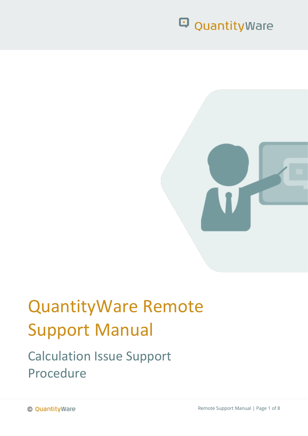

# QuantityWare Remote Support Manual

### Calculation Issue Support Procedure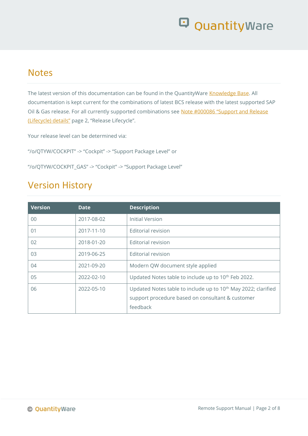#### **Notes**

The latest version of this documentation can be found in the QuantityWare [Knowledge Base.](https://www.quantityware.com/support/knowledge-base/) All documentation is kept current for the combinations of latest BCS release with the latest supported SAP Oil & Gas release. For all currently supported combinations see Note #000086 "Support and Release [\(Lifecycle\) details"](https://www.quantityware.com/support/knowledge-base/?sortOrder=desc&sortBy=date&title=000086) page 2, "Release Lifecycle".

Your release level can be determined via:

"/o/QTYW/COCKPIT" -> "Cockpit" -> "Support Package Level" or

"/o/QTYW/COCKPIT\_GAS" -> "Cockpit" -> "Support Package Level"

#### Version History

| <b>Version</b> | <b>Date</b> | <b>Description</b>                                                                                                                        |
|----------------|-------------|-------------------------------------------------------------------------------------------------------------------------------------------|
| $00\,$         | 2017-08-02  | Initial Version                                                                                                                           |
| 01             | 2017-11-10  | Editorial revision                                                                                                                        |
| 02             | 2018-01-20  | Editorial revision                                                                                                                        |
| 03             | 2019-06-25  | Editorial revision                                                                                                                        |
| 04             | 2021-09-20  | Modern QW document style applied                                                                                                          |
| 05             | 2022-02-10  | Updated Notes table to include up to 10 <sup>th</sup> Feb 2022.                                                                           |
| 06             | 2022-05-10  | Updated Notes table to include up to 10 <sup>th</sup> May 2022; clarified<br>support procedure based on consultant & customer<br>feedback |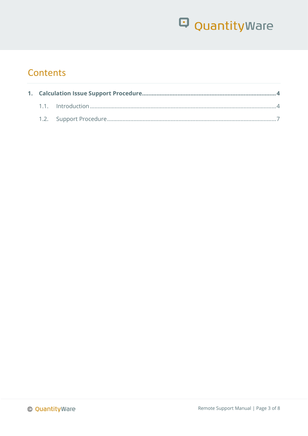### **Contents**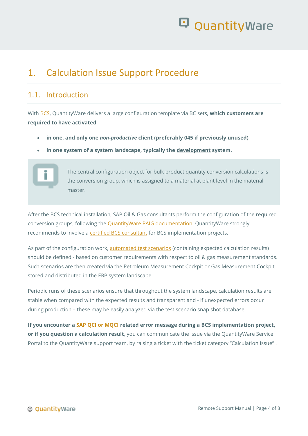### <span id="page-3-0"></span>1. Calculation Issue Support Procedure

#### <span id="page-3-1"></span>1.1 Introduction

With [BCS,](https://www.quantityware.com/glossary/bcs/) QuantityWare delivers a large configuration template via BC sets, **which customers are required to have activated**

- **in one, and only one** *non-productive* **client (preferably 045 if previously unused)**
- **in one system of a system landscape, typically the development system.**



After the BCS technical installation, SAP Oil & Gas consultants perform the configuration of the required conversion groups, following the [QuantityWare PAIG documentation.](https://www.quantityware.com/support/knowledge-base/?kbpage=1&sortOrder=desc&sortBy=date&title=PAIG) QuantityWare strongly recommends to involve a [certified BCS consultant](https://www.quantityware.com/support/certified-consultants/) for BCS implementation projects.

As part of the configuration work, [automated test scenarios](https://www.quantityware.com/faq/why-do-i-need-to-maintain-customer-test-scenarios-in-my-system/) (containing expected calculation results) should be defined - based on customer requirements with respect to oil & gas measurement standards. Such scenarios are then created via the Petroleum Measurement Cockpit or Gas Measurement Cockpit, stored and distributed in the ERP system landscape.

Periodic runs of these scenarios ensure that throughout the system landscape, calculation results are stable when compared with the expected results and transparent and - if unexpected errors occur during production – these may be easily analyzed via the test scenario snap shot database.

**If you encounter a [SAP QCI or MQCI](https://www.quantityware.com/glossary/mqci/) related error message during a BCS implementation project, or if you question a calculation result**, you can communicate the issue via the QuantityWare Service Portal to the QuantityWare support team, by raising a ticket with the ticket category "Calculation Issue" .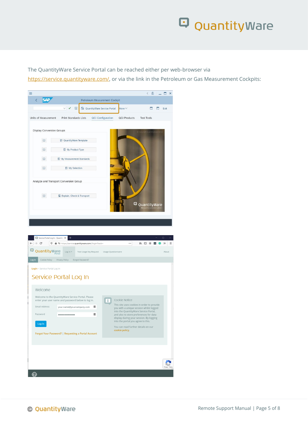The QuantityWare Service Portal can be reached either per web-browser via [https://service.quantityware.com/,](https://service.quantityware.com/) or via the link in the Petroleum or Gas Measurement Cockpits:

| ≡                                  |                                                    |                        |                                |                     | 品<br>$\overline{\left\langle \right\rangle }$ | $\times$   |
|------------------------------------|----------------------------------------------------|------------------------|--------------------------------|---------------------|-----------------------------------------------|------------|
|                                    |                                                    |                        | Petroleum Measurement Cockpit  |                     |                                               |            |
|                                    | $\overline{i}$                                     |                        | Co QuantityWare Service Portal | More $\vee$         | ∍                                             | Exit       |
| Units of Measurement               | <b>Print Standards Lists</b>                       |                        | <b>QCI Configuration</b>       | <b>QCI Products</b> | <b>Test Tools</b>                             |            |
| <b>Display Conversion Groups</b>   |                                                    |                        |                                |                     | O cooyright Oliantityy                        |            |
| $\Box$                             | CuantityWare Template                              |                        |                                |                     |                                               |            |
| $\mathbf i$                        | By Product Type                                    |                        |                                |                     |                                               |            |
| $\Box$                             | By Measurement Standards                           |                        |                                |                     |                                               |            |
| $\Box$                             | My Selection                                       |                        |                                |                     |                                               |            |
|                                    | Analyze and Transport Conversion Group             |                        |                                |                     |                                               |            |
| $\boxed{\mathbf{i}}$               | Explain, Check & Transport                         |                        |                                | Θ                   |                                               |            |
|                                    |                                                    |                        |                                |                     | QuantityWare<br>sitty conversions             |            |
|                                    |                                                    |                        |                                |                     |                                               |            |
|                                    |                                                    |                        |                                |                     |                                               |            |
| Service Portal Log In - Quantity X | $\ddot{}$                                          |                        |                                |                     |                                               | $\Box$     |
| e<br>←                             | ▲ ºo https://service.quantityware.com//login?back= |                        |                                | $\cdots$            | W.<br>▥                                       | Ξ<br>$\gg$ |
| Ξ<br>QuantityWare                  | Log In $\overline{\mathbf{v}}$<br>Portal           | Test Usage Key Request | Usage Questionnaire            |                     |                                               | About      |

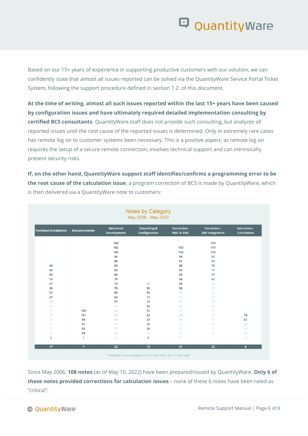Based on our 15+ years of experience in supporting productive customers with our solution, we can confidently state that almost all issues reported can be solved via the QuantityWare Service Portal Ticket System, following the support procedure defined in section 1.2. of this document.

**At the time of writing, almost all such issues reported within the last 15+ years have been caused by configuration issues and have ultimately required detailed implementation consulting by certified BCS consultants**. QuantityWare staff does not provide such consulting, but analyzes all reported issues until the root cause of the reported issues is determined. Only in extremely rare cases has remote log on to customer systems been necessary. This is a positive aspect, as remote log on requires the setup of a secure remote connection, involves technical support and can intrinsically present security risks.

**If, on the other hand, QuantityWare support staff identifies/confirms a programming error to be the root cause of the calculation issue**, a program correction of BCS is made by QuantityWare, which is then delivered via a QuantityWare note to customers:

| <b>Technical Installation</b> | <b>Documentation</b> | <b>Advanced</b><br><b>Development</b> | <b>Consulting &amp;</b><br>Configuration | Correction -<br><b>PMC &amp; GMC</b> | Correction -<br><b>SAP Integration</b> | Correction -<br><b>Calculation</b> |  |
|-------------------------------|----------------------|---------------------------------------|------------------------------------------|--------------------------------------|----------------------------------------|------------------------------------|--|
|                               |                      | 108                                   |                                          |                                      | 109                                    |                                    |  |
|                               |                      | 102                                   |                                          | 103                                  | 107                                    |                                    |  |
|                               |                      | 100                                   |                                          | 104                                  | 105                                    |                                    |  |
|                               |                      | 96                                    |                                          | 94                                   | 82                                     |                                    |  |
|                               |                      | 90                                    |                                          | 91                                   | 81                                     |                                    |  |
| 93                            |                      | 89                                    |                                          | 88                                   | 79                                     |                                    |  |
| 86                            |                      | 84                                    |                                          | 83                                   | 77                                     |                                    |  |
| 85                            |                      | 80                                    |                                          | 69                                   | 71                                     |                                    |  |
| 75                            |                      | 76                                    |                                          | 66                                   | 62                                     |                                    |  |
| 67                            |                      | 74                                    | 98                                       | 60                                   | 50                                     |                                    |  |
| 56                            |                      | 70                                    | 95                                       | 58                                   | 28                                     |                                    |  |
| 51                            |                      | 65                                    | 92                                       | 49                                   | 22                                     |                                    |  |
| 47                            |                      | 64                                    | 73                                       | 44                                   | 19                                     |                                    |  |
| 29                            |                      | 57                                    | 72                                       | 43                                   | 18                                     |                                    |  |
| 24                            |                      | 53                                    | 68                                       | 42                                   | 17                                     |                                    |  |
| 21                            | 106                  | 48                                    | 55                                       | 41                                   | 15                                     |                                    |  |
| 13                            | 101                  | 46                                    | 52                                       | 38                                   | 14                                     | 78                                 |  |
| 12                            | 99                   | 40                                    | 37                                       | 36                                   | 11                                     | 61                                 |  |
| $\circ$                       | 97                   | 39                                    | 30                                       | 33                                   | 10                                     | 54                                 |  |
| 6                             | 63                   | 35                                    | 26                                       | 32                                   | $\overline{7}$                         | 45                                 |  |
| 5                             | 59                   | 34                                    | 20                                       | 31                                   | $\overline{4}$                         | 27                                 |  |
| $\overline{2}$                | 1                    | 16                                    | 8                                        | 25                                   | 3                                      | 23                                 |  |
| 17                            | $\overline{7}$       | 22                                    | 13                                       | 21                                   | 22                                     | 6                                  |  |

Since May 2006, **108 notes** (as of May 10, 2022) have been prepared/issued by QuantityWare. **Only 6 of these notes provided corrections for calculation issues** – none of these 6 notes have been rated as "critical".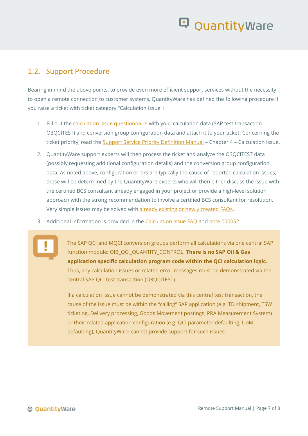#### <span id="page-6-0"></span>1.2. Support Procedure

Bearing in mind the above points, to provide even more efficient support services without the necessity to open a remote connection to customer systems, QuantityWare has defined the following procedure if you raise a ticket with ticket category "Calculation Issue":

- 1. Fill out the [calculation issue questionnaire](https://www.quantityware.com/support/knowledge-base/?kbpage=1&sortOrder=desc&sortBy=date&title=Calculation%20Issue%20Questionnaire) with your calculation data (SAP test transaction O3QCITEST) and conversion group configuration data and attach it to your ticket. Concerning the ticket priority, read the **Support Service Priority Definition Manual** - Chapter 4 - Calculation Issue.
- 2. QuantityWare support experts will then process the ticket and analyze the O3QCITEST data (possibly requesting additional configuration details) and the conversion group configuration data. As noted above, configuration errors are typically the cause of reported calculation issues; these will be determined by the QuantityWare experts who will then either discuss the issue with the certified BCS consultant already engaged in your project or provide a high-level solution approach with the strong recommendation to involve a certified BCS consultant for resolution. Very simple issues may be solved with already existing or newly created FAOs.
- 3. Additional information is provided in the [Calculation Issue FAQ](https://www.quantityware.com/faq/what-is-the-quantityware-support-procedure-concerning-calculation-issue-tickets/) and [note 000052.](https://www.quantityware.com/wp-content/uploads/Note-000052.pdf)

The SAP QCI and MQCI conversion groups perform all calculations via one central SAP function module: OIB\_QCI\_QUANTITY\_CONTROL. **There is no SAP Oil & Gas application specific calculation program code within the QCI calculation logic.** Thus, any calculation issues or related error messages must be demonstrated via the central SAP QCI test transaction (O3QCITEST).

If a calculation issue cannot be demonstrated via this central test transaction, the cause of the issue must be within the "calling" SAP application (e.g. TD shipment, TSW ticketing, Delivery processing, Goods Movement postings, PRA Measurement System) or their related application configuration (e.g. QCI parameter defaulting, UoM defaulting); QuantityWare cannot provide support for such issues.